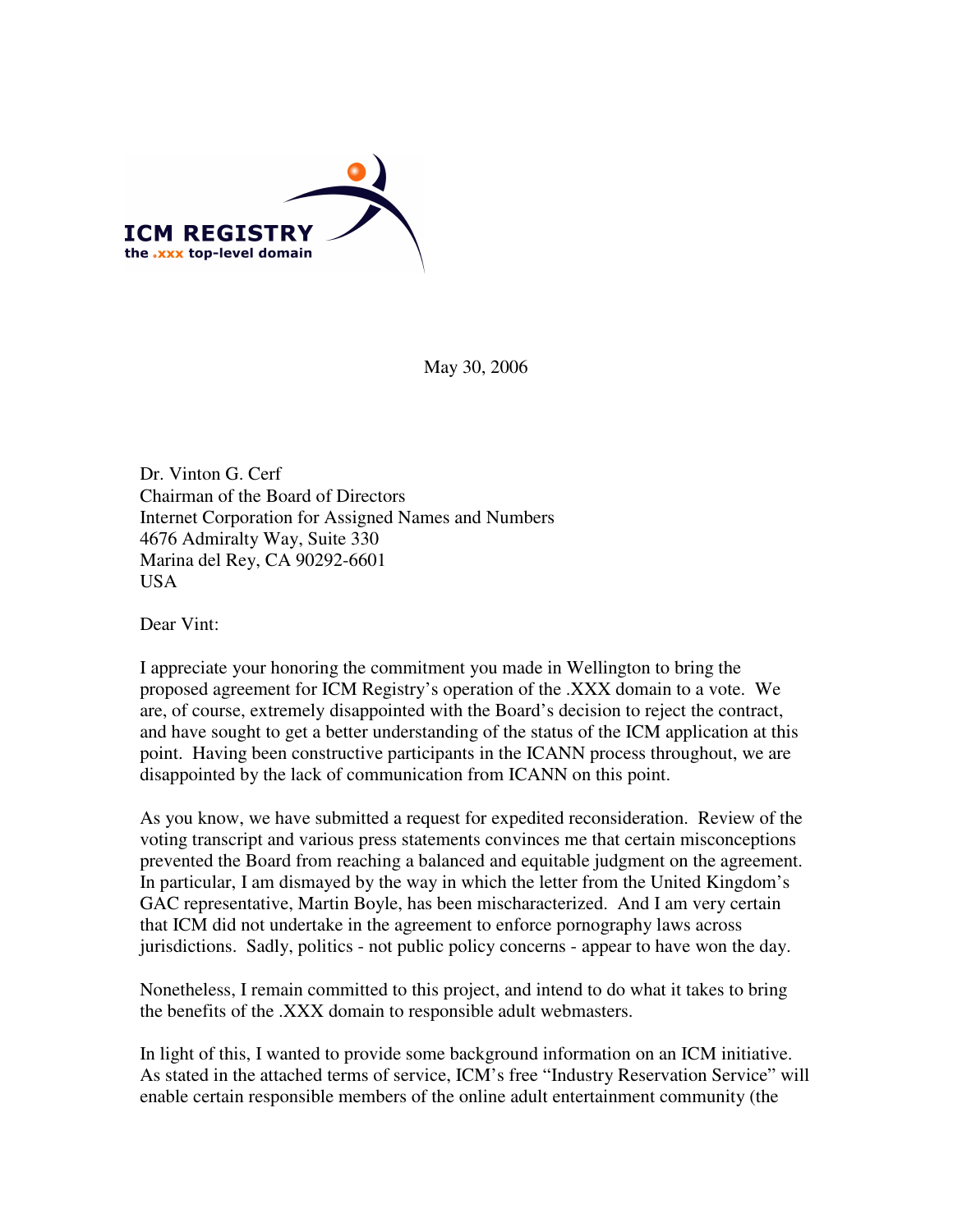

May 30, 2006

Dr. Vinton G. Cerf Chairman of the Board of Directors Internet Corporation for Assigned Names and Numbers 4676 Admiralty Way, Suite 330 Marina del Rey, CA 90292-6601 USA

Dear Vint:

I appreciate your honoring the commitment you made in Wellington to bring the proposed agreement for ICM Registry's operation of the .XXX domain to a vote. We are, of course, extremely disappointed with the Board's decision to reject the contract, and have sought to get a better understanding of the status of the ICM application at this point. Having been constructive participants in the ICANN process throughout, we are disappointed by the lack of communication from ICANN on this point.

As you know, we have submitted a request for expedited reconsideration. Review of the voting transcript and various press statements convinces me that certain misconceptions prevented the Board from reaching a balanced and equitable judgment on the agreement. In particular, I am dismayed by the way in which the letter from the United Kingdom's GAC representative, Martin Boyle, has been mischaracterized. And I am very certain that ICM did not undertake in the agreement to enforce pornography laws across jurisdictions. Sadly, politics - not public policy concerns - appear to have won the day.

Nonetheless, I remain committed to this project, and intend to do what it takes to bring the benefits of the .XXX domain to responsible adult webmasters.

In light of this, I wanted to provide some background information on an ICM initiative. As stated in the attached terms of service, ICM's free "Industry Reservation Service" will enable certain responsible members of the online adult entertainment community (the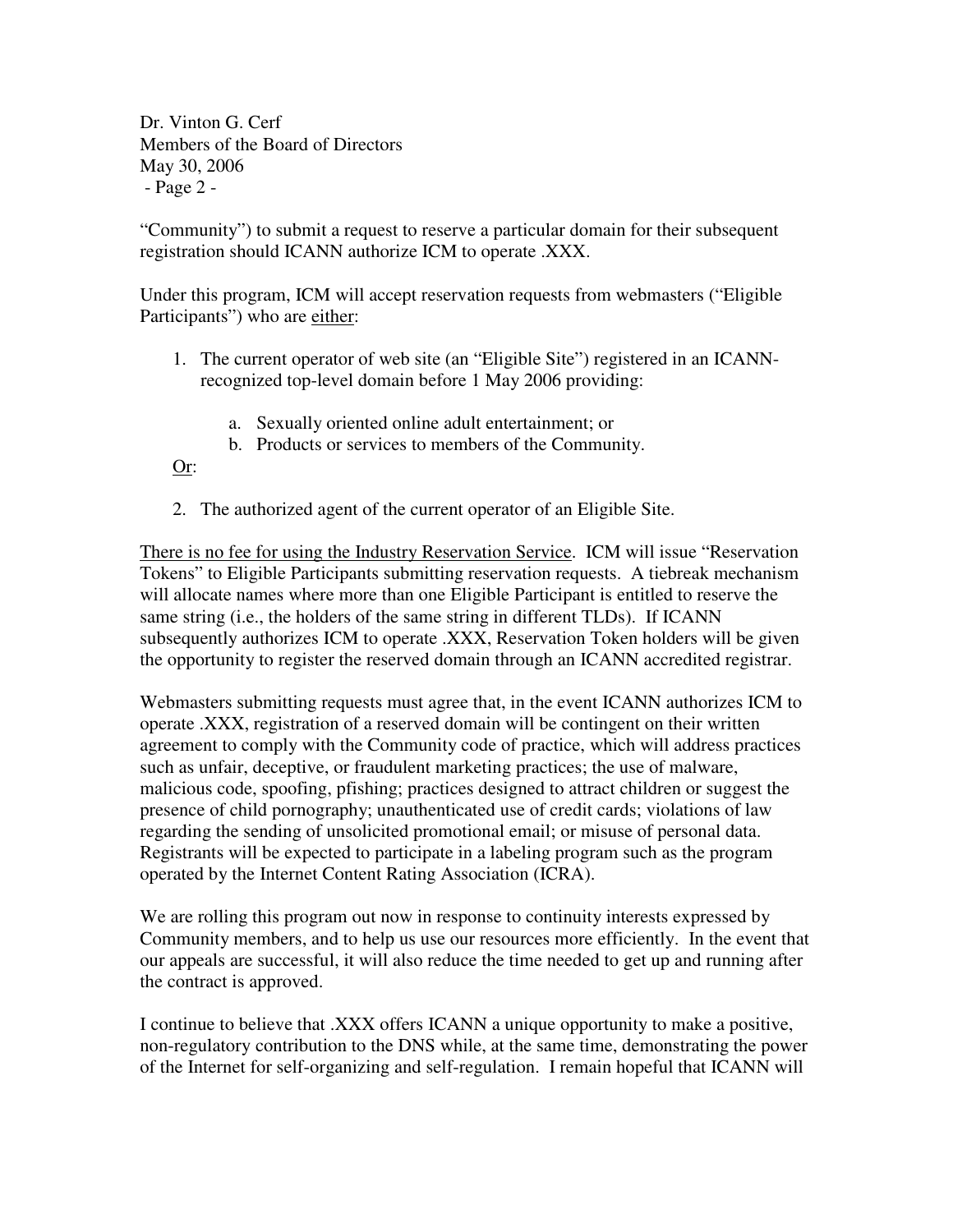Dr. Vinton G. Cerf Members of the Board of Directors May 30, 2006 - Page 2 -

"Community") to submit a request to reserve a particular domain for their subsequent registration should ICANN authorize ICM to operate .XXX.

Under this program, ICM will accept reservation requests from webmasters ("Eligible Participants") who are either:

- 1. The current operator of web site (an "Eligible Site") registered in an ICANNrecognized top-level domain before 1 May 2006 providing:
	- a. Sexually oriented online adult entertainment; or
	- b. Products or services to members of the Community.

Or:

2. The authorized agent of the current operator of an Eligible Site.

There is no fee for using the Industry Reservation Service. ICM will issue "Reservation Tokens" to Eligible Participants submitting reservation requests. A tiebreak mechanism will allocate names where more than one Eligible Participant is entitled to reserve the same string (i.e., the holders of the same string in different TLDs). If ICANN subsequently authorizes ICM to operate .XXX, Reservation Token holders will be given the opportunity to register the reserved domain through an ICANN accredited registrar.

Webmasters submitting requests must agree that, in the event ICANN authorizes ICM to operate .XXX, registration of a reserved domain will be contingent on their written agreement to comply with the Community code of practice, which will address practices such as unfair, deceptive, or fraudulent marketing practices; the use of malware, malicious code, spoofing, pfishing; practices designed to attract children or suggest the presence of child pornography; unauthenticated use of credit cards; violations of law regarding the sending of unsolicited promotional email; or misuse of personal data. Registrants will be expected to participate in a labeling program such as the program operated by the Internet Content Rating Association (ICRA).

We are rolling this program out now in response to continuity interests expressed by Community members, and to help us use our resources more efficiently. In the event that our appeals are successful, it will also reduce the time needed to get up and running after the contract is approved.

I continue to believe that .XXX offers ICANN a unique opportunity to make a positive, non-regulatory contribution to the DNS while, at the same time, demonstrating the power of the Internet for self-organizing and self-regulation. I remain hopeful that ICANN will